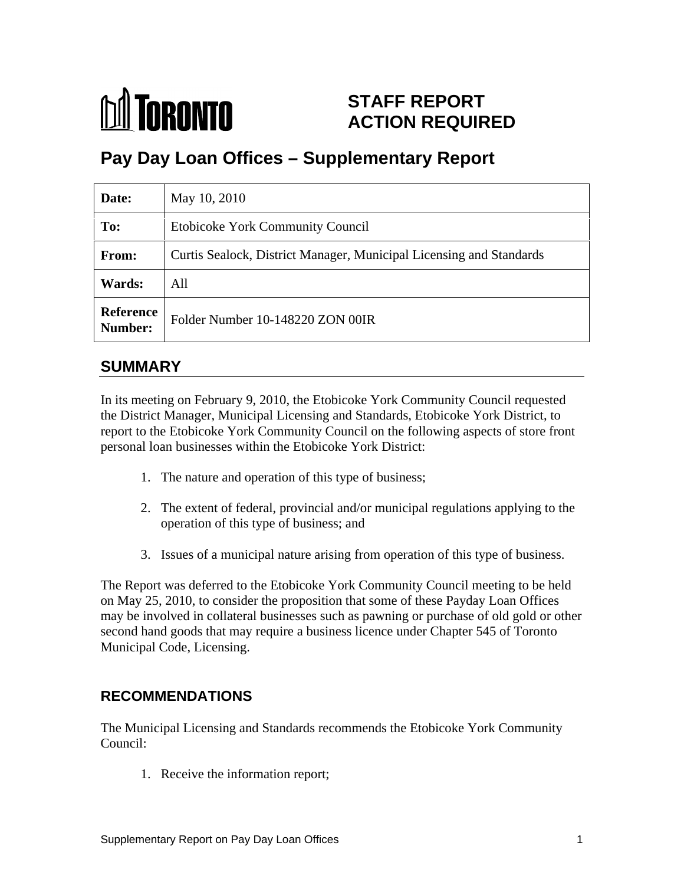

# **STAFF REPORT ACTION REQUIRED**

# **Pay Day Loan Offices – Supplementary Report**

| Date:         | May 10, 2010                                                        |
|---------------|---------------------------------------------------------------------|
| To:           | Etobicoke York Community Council                                    |
| From:         | Curtis Sealock, District Manager, Municipal Licensing and Standards |
| <b>Wards:</b> | All                                                                 |
|               | Reference<br>Number: Folder Number 10-148220 ZON 00IR               |

## **SUMMARY**

In its meeting on February 9, 2010, the Etobicoke York Community Council requested the District Manager, Municipal Licensing and Standards, Etobicoke York District, to report to the Etobicoke York Community Council on the following aspects of store front personal loan businesses within the Etobicoke York District:

- 1. The nature and operation of this type of business;
- 2. The extent of federal, provincial and/or municipal regulations applying to the operation of this type of business; and
- 3. Issues of a municipal nature arising from operation of this type of business.

The Report was deferred to the Etobicoke York Community Council meeting to be held on May 25, 2010, to consider the proposition that some of these Payday Loan Offices may be involved in collateral businesses such as pawning or purchase of old gold or other second hand goods that may require a business licence under Chapter 545 of Toronto Municipal Code, Licensing.

## **RECOMMENDATIONS**

The Municipal Licensing and Standards recommends the Etobicoke York Community Council:

1. Receive the information report;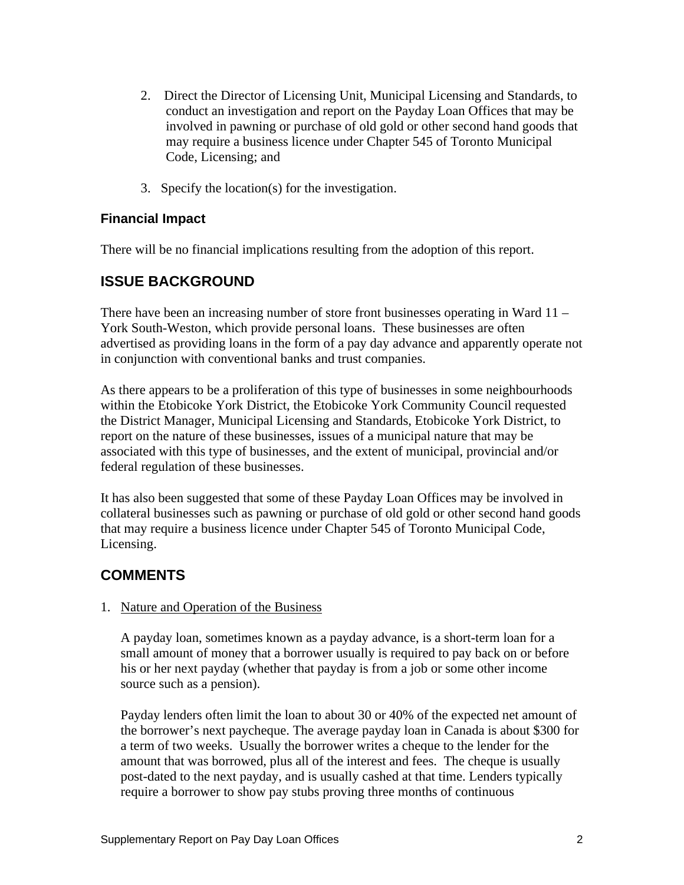- 2. Direct the Director of Licensing Unit, Municipal Licensing and Standards, to conduct an investigation and report on the Payday Loan Offices that may be involved in pawning or purchase of old gold or other second hand goods that may require a business licence under Chapter 545 of Toronto Municipal Code, Licensing; and
- 3. Specify the location(s) for the investigation.

### **Financial Impact**

There will be no financial implications resulting from the adoption of this report.

## **ISSUE BACKGROUND**

There have been an increasing number of store front businesses operating in Ward 11 – York South-Weston, which provide personal loans. These businesses are often advertised as providing loans in the form of a pay day advance and apparently operate not in conjunction with conventional banks and trust companies.

As there appears to be a proliferation of this type of businesses in some neighbourhoods within the Etobicoke York District, the Etobicoke York Community Council requested the District Manager, Municipal Licensing and Standards, Etobicoke York District, to report on the nature of these businesses, issues of a municipal nature that may be associated with this type of businesses, and the extent of municipal, provincial and/or federal regulation of these businesses.

It has also been suggested that some of these Payday Loan Offices may be involved in collateral businesses such as pawning or purchase of old gold or other second hand goods that may require a business licence under Chapter 545 of Toronto Municipal Code, Licensing.

## **COMMENTS**

#### 1. Nature and Operation of the Business

A payday loan, sometimes known as a payday advance, is a short-term loan for a small amount of money that a borrower usually is required to pay back on or before his or her next payday (whether that payday is from a job or some other income source such as a pension).

Payday lenders often limit the loan to about 30 or 40% of the expected net amount of the borrower's next paycheque. The average payday loan in Canada is about \$300 for a term of two weeks. Usually the borrower writes a cheque to the lender for the amount that was borrowed, plus all of the interest and fees. The cheque is usually post-dated to the next payday, and is usually cashed at that time. Lenders typically require a borrower to show pay stubs proving three months of continuous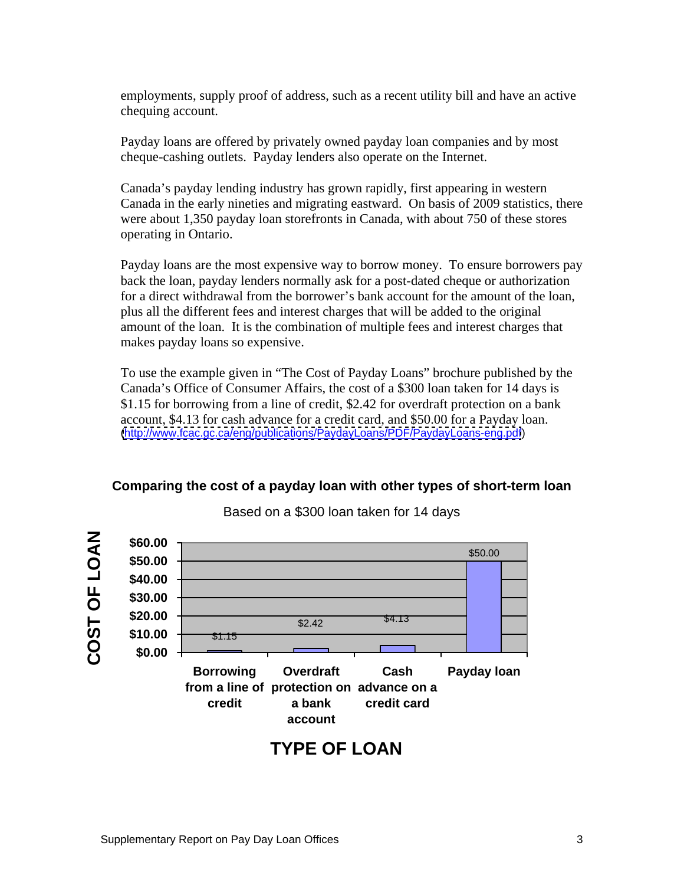employments, supply proof of address, such as a recent utility bill and have an active chequing account.<br>Payday loans are offered by privately owned payday loan companies and by most

cheque-cashing outlets. Payday lenders also operate on the Internet.

Canada's payday lending industry has grown rapidly, first appearing in western Canada in the early nineties and migrating eastward. On basis of 2009 statistics, there were about 1,350 payday loan storefronts in Canada, with about 750 of these stores operating in Ontario.

Payday loans are the most expensive way to borrow money. To ensure borrowers pay back the loan, payday lenders normally ask for a post-dated cheque or authorization for a direct withdrawal from the borrower's bank account for the amount of the loan, plus all the different fees and interest charges that will be added to the original amount of the loan. It is the combination of multiple fees and interest charges that makes payday loans so expensive.

To use the example given in "The Cost of Payday Loans" brochure published by the Canada's Office of Consumer Affairs, the cost of a \$300 loan taken for 14 days is \$1.15 for borrowing from a line of credit, \$2.42 for overdraft protection on a bank account, \$4.13 for cash advance for a credit card, and \$50.00 for a Payday loan. [\(http://www.fcac.gc.ca/eng/publications/PaydayLoans/PDF/PaydayLoans-eng.pdf](http://www.fcac.gc.ca/eng/publications/PaydayLoans/PDF/PaydayLoans-eng.pdf))

#### **Comparing the cost of a payday loan with other types of short-term loan**



Based on a \$300 loan taken for 14 days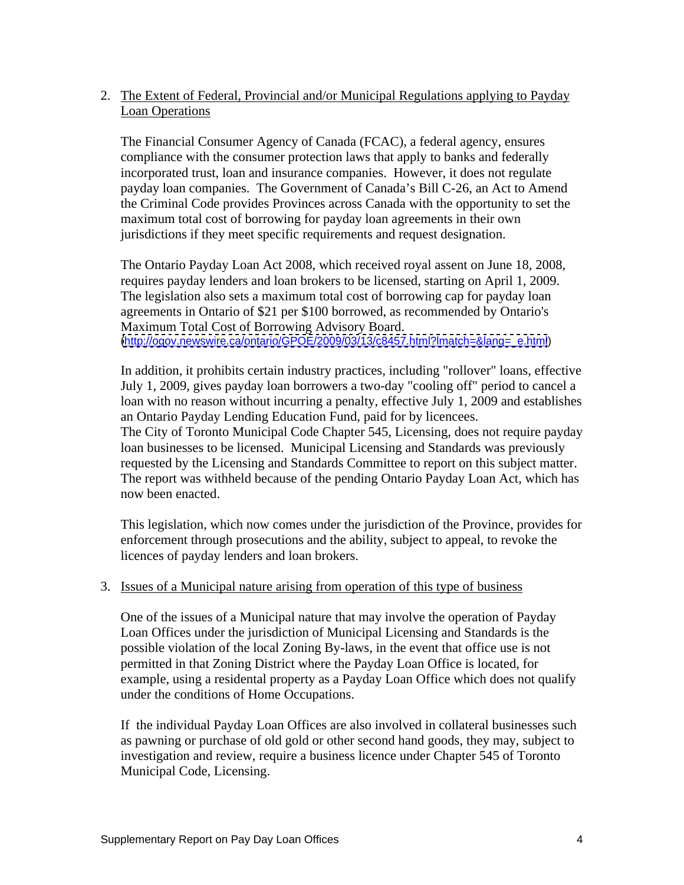### 2. The Extent of Federal, Provincial and/or Municipal Regulations applying to Payday **Loan Operations**

The Financial Consumer Agency of Canada (FCAC), a federal agency, ensures compliance with the consumer protection laws that apply to banks and federally incorporated trust, loan and insurance companies. However, it does not regulate payday loan companies. The Government of Canada's Bill C-26, an Act to Amend the Criminal Code provides Provinces across Canada with the opportunity to set the maximum total cost of borrowing for payday loan agreements in their own jurisdictions if they meet specific requirements and request designation.

The Ontario Payday Loan Act 2008, which received royal assent on June 18, 2008, requires payday lenders and loan brokers to be licensed, starting on April 1, 2009. The legislation also sets a maximum total cost of borrowing cap for payday loan agreements in Ontario of \$21 per \$100 borrowed, as recommended by Ontario's Maximum Total Cost of Borrowing Advisory Board. [\(http://ogov.newswire.ca/ontario/GPOE/2009/03/13/c8457.html?lmatch=&lang=\\_e.html](http://ogov.newswire.ca/ontario/GPOE/2009/03/13/c8457.html?lmatch=&lang=_e.html))

In addition, it prohibits certain industry practices, including "rollover" loans, effective July 1, 2009, gives payday loan borrowers a two-day "cooling off" period to cancel a loan with no reason without incurring a penalty, effective July 1, 2009 and establishes an Ontario Payday Lending Education Fund, paid for by licencees.

The City of Toronto Municipal Code Chapter 545, Licensing, does not require payday loan businesses to be licensed. Municipal Licensing and Standards was previously requested by the Licensing and Standards Committee to report on this subject matter. The report was withheld because of the pending Ontario Payday Loan Act, which has now been enacted.

This legislation, which now comes under the jurisdiction of the Province, provides for enforcement through prosecutions and the ability, subject to appeal, to revoke the licences of payday lenders and loan brokers.

#### 3. Issues of a Municipal nature arising from operation of this type of business

One of the issues of a Municipal nature that may involve the operation of Payday Loan Offices under the jurisdiction of Municipal Licensing and Standards is the possible violation of the local Zoning By-laws, in the event that office use is not permitted in that Zoning District where the Payday Loan Office is located, for example, using a residental property as a Payday Loan Office which does not qualify under the conditions of Home Occupations.

If the individual Payday Loan Offices are also involved in collateral businesses such as pawning or purchase of old gold or other second hand goods, they may, subject to investigation and review, require a business licence under Chapter 545 of Toronto Municipal Code, Licensing.